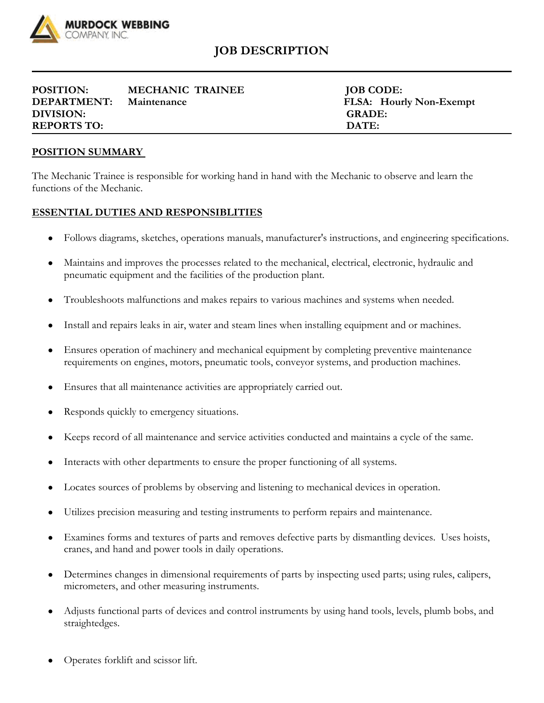

## **JOB DESCRIPTION**

| <b>POSITION:</b>   | <b>MECHANIC TRAINEE</b> | <b>JOB CODE:</b>  |
|--------------------|-------------------------|-------------------|
| <b>DEPARTMENT:</b> | Maintenance             | FLSA: Hourly Non- |
| DIVISION:          |                         | <b>GRADE:</b>     |
| <b>REPORTS TO:</b> |                         | DATE:             |

**JOB CODE:** FLSA: Hourly Non-Exempt

## **POSITION SUMMARY**

The Mechanic Trainee is responsible for working hand in hand with the Mechanic to observe and learn the functions of the Mechanic.

## **ESSENTIAL DUTIES AND RESPONSIBLITIES**

- Follows diagrams, sketches, operations manuals, manufacturer's instructions, and engineering specifications.
- Maintains and improves the processes related to the mechanical, electrical, electronic, hydraulic and pneumatic equipment and the facilities of the production plant.
- Troubleshoots malfunctions and makes repairs to various machines and systems when needed.
- Install and repairs leaks in air, water and steam lines when installing equipment and or machines.
- Ensures operation of machinery and mechanical equipment by completing preventive maintenance requirements on engines, motors, pneumatic tools, conveyor systems, and production machines.
- Ensures that all maintenance activities are appropriately carried out.
- Responds quickly to emergency situations.
- Keeps record of all maintenance and service activities conducted and maintains a cycle of the same.
- Interacts with other departments to ensure the proper functioning of all systems.
- Locates sources of problems by observing and listening to mechanical devices in operation.
- Utilizes precision measuring and testing instruments to perform repairs and maintenance.
- Examines forms and textures of parts and removes defective parts by dismantling devices. Uses hoists, cranes, and hand and power tools in daily operations.
- Determines changes in dimensional requirements of parts by inspecting used parts; using rules, calipers, micrometers, and other measuring instruments.
- Adjusts functional parts of devices and control instruments by using hand tools, levels, plumb bobs, and straightedges.
- Operates forklift and scissor lift.